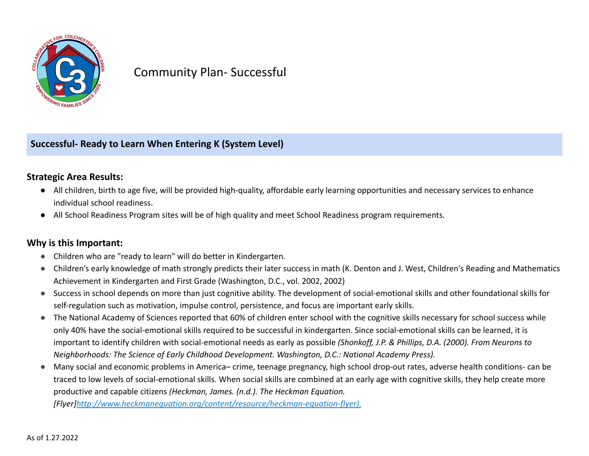

# Community Plan- Successful

**Successful- Ready to Learn When Entering K (System Level)**

## **Strategic Area Results:**

- All children, birth to age five, will be provided high-quality, affordable early learning opportunities and necessary services to enhance individual school readiness.
- All School Readiness Program sites will be of high quality and meet School Readiness program requirements.

### **Why is this Important:**

- Children who are "ready to learn" will do better in Kindergarten.
- Children's early knowledge of math strongly predicts their later success in math (K. Denton and J. West, Children's Reading and Mathematics Achievement in Kindergarten and First Grade (Washington, D.C., vol. 2002, 2002)
- Success in school depends on more than just cognitive ability. The development of social-emotional skills and other foundational skills for self-regulation such as motivation, impulse control, persistence, and focus are important early skills.
- The National Academy of Sciences reported that 60% of children enter school with the cognitive skills necessary for school success while only 40% have the social-emotional skills required to be successful in kindergarten. Since social-emotional skills can be learned, it is important to identify children with social-emotional needs as early as possible *(Shonkoff, J.P. & Phillips, D.A. (2000). From Neurons to Neighborhoods: The Science of Early Childhood Development. Washington, D.C.: National Academy Press).*
- Many social and economic problems in America– crime, teenage pregnancy, high school drop-out rates, adverse health conditions- can be traced to low levels of social-emotional skills. When social skills are combined at an early age with cognitive skills, they help create more productive and capable citizens *(Heckman, James. (n.d.). The Heckman Equation.*

*[Flyer][http://www.heckmanequation.org/content/resource/heckman-equation-flyer\).](http://www.heckmanequation.org/content/resource/heckman-equation-flyer).)*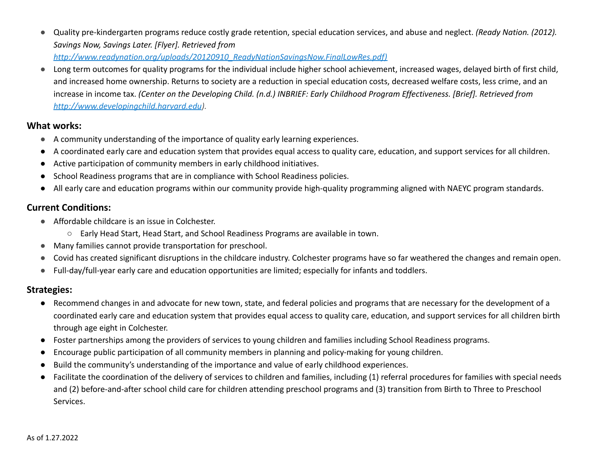- Quality pre-kindergarten programs reduce costly grade retention, special education services, and abuse and neglect. *(Ready Nation. (2012). Savings Now, Savings Later. [Flyer]. Retrieved from [http://www.readynation.org/uploads/20120910\\_ReadyNationSavingsNow.FinalLowRes.pdf\)](http://www.readynation.org/uploads/20120910_ReadyNationSavingsNow.FinalLowRes.pdf))*
- Long term outcomes for quality programs for the individual include higher school achievement, increased wages, delayed birth of first child, and increased home ownership. Returns to society are a reduction in special education costs, decreased welfare costs, less crime, and an increase in income tax. *(Center on the Developing Child. (n.d.) INBRIEF: Early Childhood Program Effectiveness. [Brief]. Retrieved from [http://www.developingchild.harvard.edu](http://www.developingchild.harvard.edu/)).*

#### **What works:**

- A community understanding of the importance of quality early learning experiences.
- A coordinated early care and education system that provides equal access to quality care, education, and support services for all children.
- Active participation of community members in early childhood initiatives.
- School Readiness programs that are in compliance with School Readiness policies.
- All early care and education programs within our community provide high-quality programming aligned with NAEYC program standards.

## **Current Conditions:**

- Affordable childcare is an issue in Colchester.
	- Early Head Start, Head Start, and School Readiness Programs are available in town.
- Many families cannot provide transportation for preschool.
- Covid has created significant disruptions in the childcare industry. Colchester programs have so far weathered the changes and remain open.
- Full-day/full-year early care and education opportunities are limited; especially for infants and toddlers.

## **Strategies:**

- Recommend changes in and advocate for new town, state, and federal policies and programs that are necessary for the development of a coordinated early care and education system that provides equal access to quality care, education, and support services for all children birth through age eight in Colchester.
- Foster partnerships among the providers of services to young children and families including School Readiness programs.
- Encourage public participation of all community members in planning and policy-making for young children.
- Build the community's understanding of the importance and value of early childhood experiences.
- Facilitate the coordination of the delivery of services to children and families, including (1) referral procedures for families with special needs and (2) before-and-after school child care for children attending preschool programs and (3) transition from Birth to Three to Preschool Services.